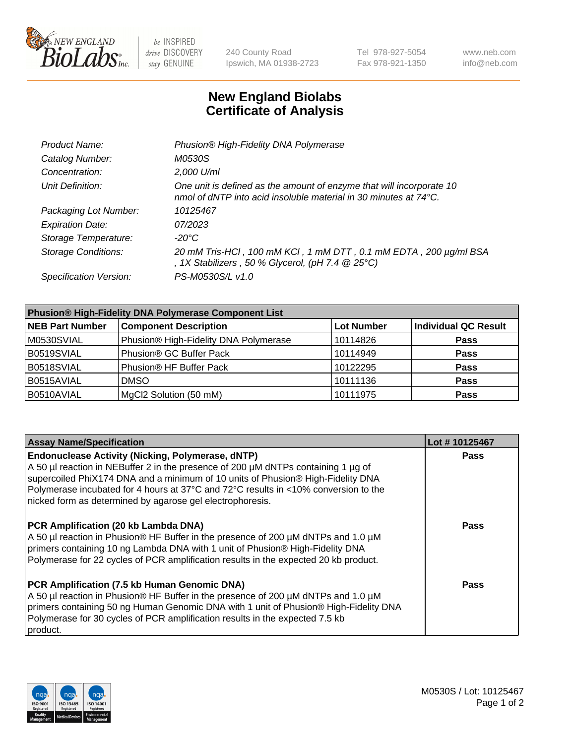

be INSPIRED drive DISCOVERY stay GENUINE

240 County Road Ipswich, MA 01938-2723 Tel 978-927-5054 Fax 978-921-1350 www.neb.com info@neb.com

## **New England Biolabs Certificate of Analysis**

| Product Name:              | Phusion® High-Fidelity DNA Polymerase                                                                                                              |
|----------------------------|----------------------------------------------------------------------------------------------------------------------------------------------------|
| Catalog Number:            | M0530S                                                                                                                                             |
| Concentration:             | 2,000 U/ml                                                                                                                                         |
| Unit Definition:           | One unit is defined as the amount of enzyme that will incorporate 10<br>nmol of dNTP into acid insoluble material in 30 minutes at $74^{\circ}$ C. |
| Packaging Lot Number:      | 10125467                                                                                                                                           |
| <b>Expiration Date:</b>    | 07/2023                                                                                                                                            |
| Storage Temperature:       | $-20^{\circ}$ C                                                                                                                                    |
| <b>Storage Conditions:</b> | 20 mM Tris-HCl, 100 mM KCl, 1 mM DTT, 0.1 mM EDTA, 200 µg/ml BSA<br>, 1X Stabilizers, 50 % Glycerol, (pH 7.4 $@25°C$ )                             |
| Specification Version:     | PS-M0530S/L v1.0                                                                                                                                   |

| <b>Phusion® High-Fidelity DNA Polymerase Component List</b> |                                       |                   |                             |  |
|-------------------------------------------------------------|---------------------------------------|-------------------|-----------------------------|--|
| <b>NEB Part Number</b>                                      | <b>Component Description</b>          | <b>Lot Number</b> | <b>Individual QC Result</b> |  |
| M0530SVIAL                                                  | Phusion® High-Fidelity DNA Polymerase | 10114826          | <b>Pass</b>                 |  |
| B0519SVIAL                                                  | Phusion® GC Buffer Pack               | 10114949          | <b>Pass</b>                 |  |
| B0518SVIAL                                                  | Phusion® HF Buffer Pack               | 10122295          | <b>Pass</b>                 |  |
| B0515AVIAL                                                  | <b>DMSO</b>                           | 10111136          | <b>Pass</b>                 |  |
| B0510AVIAL                                                  | MgCl2 Solution (50 mM)                | 10111975          | <b>Pass</b>                 |  |

| <b>Assay Name/Specification</b>                                                                                                                                                                                                                                                                                                                                                      | Lot #10125467 |
|--------------------------------------------------------------------------------------------------------------------------------------------------------------------------------------------------------------------------------------------------------------------------------------------------------------------------------------------------------------------------------------|---------------|
| <b>Endonuclease Activity (Nicking, Polymerase, dNTP)</b><br>A 50 µl reaction in NEBuffer 2 in the presence of 200 µM dNTPs containing 1 µg of<br>supercoiled PhiX174 DNA and a minimum of 10 units of Phusion® High-Fidelity DNA<br>Polymerase incubated for 4 hours at 37°C and 72°C results in <10% conversion to the<br>nicked form as determined by agarose gel electrophoresis. | <b>Pass</b>   |
| <b>PCR Amplification (20 kb Lambda DNA)</b><br>A 50 µl reaction in Phusion® HF Buffer in the presence of 200 µM dNTPs and 1.0 µM<br>primers containing 10 ng Lambda DNA with 1 unit of Phusion® High-Fidelity DNA<br>Polymerase for 22 cycles of PCR amplification results in the expected 20 kb product.                                                                            | Pass          |
| PCR Amplification (7.5 kb Human Genomic DNA)<br>A 50 µl reaction in Phusion® HF Buffer in the presence of 200 µM dNTPs and 1.0 µM<br>primers containing 50 ng Human Genomic DNA with 1 unit of Phusion® High-Fidelity DNA<br>Polymerase for 30 cycles of PCR amplification results in the expected 7.5 kb<br>product.                                                                | <b>Pass</b>   |